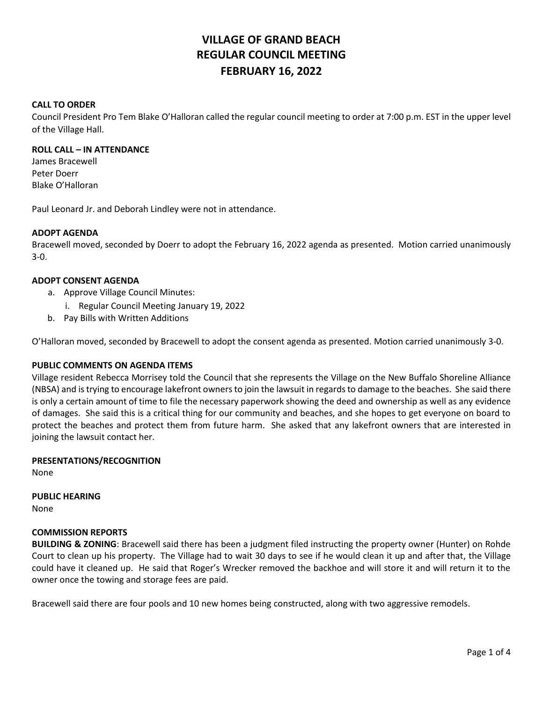# **VILLAGE OF GRAND BEACH REGULAR COUNCIL MEETING FEBRUARY 16, 2022**

### **CALL TO ORDER**

Council President Pro Tem Blake O'Halloran called the regular council meeting to order at 7:00 p.m. EST in the upper level of the Village Hall.

### **ROLL CALL – IN ATTENDANCE**

James Bracewell Peter Doerr Blake O'Halloran

Paul Leonard Jr. and Deborah Lindley were not in attendance.

### **ADOPT AGENDA**

Bracewell moved, seconded by Doerr to adopt the February 16, 2022 agenda as presented. Motion carried unanimously 3-0.

### **ADOPT CONSENT AGENDA**

- a. Approve Village Council Minutes:
	- i. Regular Council Meeting January 19, 2022
- b. Pay Bills with Written Additions

O'Halloran moved, seconded by Bracewell to adopt the consent agenda as presented. Motion carried unanimously 3-0.

### **PUBLIC COMMENTS ON AGENDA ITEMS**

Village resident Rebecca Morrisey told the Council that she represents the Village on the New Buffalo Shoreline Alliance (NBSA) and is trying to encourage lakefront owners to join the lawsuit in regards to damage to the beaches. She said there is only a certain amount of time to file the necessary paperwork showing the deed and ownership as well as any evidence of damages. She said this is a critical thing for our community and beaches, and she hopes to get everyone on board to protect the beaches and protect them from future harm. She asked that any lakefront owners that are interested in joining the lawsuit contact her.

### **PRESENTATIONS/RECOGNITION**

None

## **PUBLIC HEARING**

None

### **COMMISSION REPORTS**

**BUILDING & ZONING**: Bracewell said there has been a judgment filed instructing the property owner (Hunter) on Rohde Court to clean up his property. The Village had to wait 30 days to see if he would clean it up and after that, the Village could have it cleaned up. He said that Roger's Wrecker removed the backhoe and will store it and will return it to the owner once the towing and storage fees are paid.

Bracewell said there are four pools and 10 new homes being constructed, along with two aggressive remodels.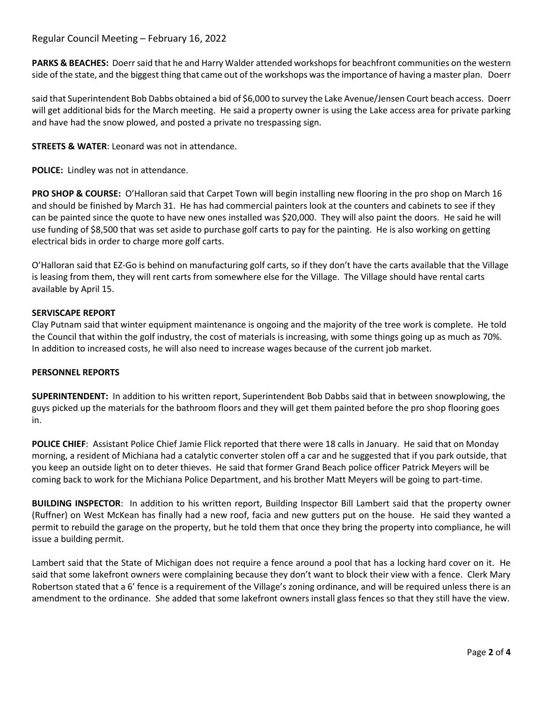# Regular Council Meeting – February 16, 2022

**PARKS & BEACHES:** Doerr said that he and Harry Walder attended workshops for beachfront communities on the western side of the state, and the biggest thing that came out of the workshops was the importance of having a master plan.Doerr

said that Superintendent Bob Dabbs obtained a bid of \$6,000 to survey the Lake Avenue/Jensen Court beach access. Doerr will get additional bids for the March meeting. He said a property owner is using the Lake access area for private parking and have had the snow plowed, and posted a private no trespassing sign.

**STREETS & WATER**: Leonard was not in attendance.

**POLICE:** Lindley was not in attendance.

**PRO SHOP & COURSE:** O'Halloran said that Carpet Town will begin installing new flooring in the pro shop on March 16 and should be finished by March 31. He has had commercial painters look at the counters and cabinets to see if they can be painted since the quote to have new ones installed was \$20,000. They will also paint the doors. He said he will use funding of \$8,500 that was set aside to purchase golf carts to pay for the painting. He is also working on getting electrical bids in order to charge more golf carts.

O'Halloran said that EZ-Go is behind on manufacturing golf carts, so if they don't have the carts available that the Village is leasing from them, they will rent carts from somewhere else for the Village. The Village should have rental carts available by April 15.

### **SERVISCAPE REPORT**

Clay Putnam said that winter equipment maintenance is ongoing and the majority of the tree work is complete. He told the Council that within the golf industry, the cost of materials is increasing, with some things going up as much as 70%. In addition to increased costs, he will also need to increase wages because of the current job market.

### **PERSONNEL REPORTS**

**SUPERINTENDENT:** In addition to his written report, Superintendent Bob Dabbs said that in between snowplowing, the guys picked up the materials for the bathroom floors and they will get them painted before the pro shop flooring goes in.

**POLICE CHIEF**: Assistant Police Chief Jamie Flick reported that there were 18 calls in January. He said that on Monday morning, a resident of Michiana had a catalytic converter stolen off a car and he suggested that if you park outside, that you keep an outside light on to deter thieves. He said that former Grand Beach police officer Patrick Meyers will be coming back to work for the Michiana Police Department, and his brother Matt Meyers will be going to part-time.

**BUILDING INSPECTOR**: In addition to his written report, Building Inspector Bill Lambert said that the property owner (Ruffner) on West McKean has finally had a new roof, facia and new gutters put on the house. He said they wanted a permit to rebuild the garage on the property, but he told them that once they bring the property into compliance, he will issue a building permit.

Lambert said that the State of Michigan does not require a fence around a pool that has a locking hard cover on it. He said that some lakefront owners were complaining because they don't want to block their view with a fence. Clerk Mary Robertson stated that a 6' fence is a requirement of the Village's zoning ordinance, and will be required unless there is an amendment to the ordinance. She added that some lakefront owners install glass fences so that they still have the view.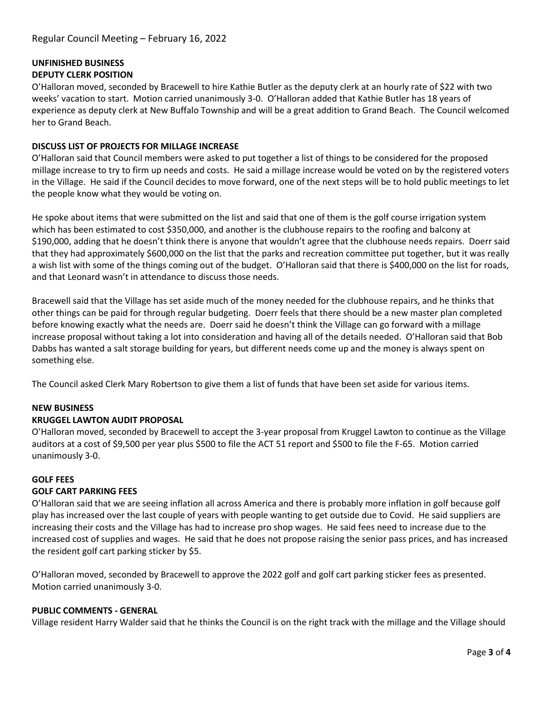# **UNFINISHED BUSINESS DEPUTY CLERK POSITION**

O'Halloran moved, seconded by Bracewell to hire Kathie Butler as the deputy clerk at an hourly rate of \$22 with two weeks' vacation to start. Motion carried unanimously 3-0. O'Halloran added that Kathie Butler has 18 years of experience as deputy clerk at New Buffalo Township and will be a great addition to Grand Beach. The Council welcomed her to Grand Beach.

## **DISCUSS LIST OF PROJECTS FOR MILLAGE INCREASE**

O'Halloran said that Council members were asked to put together a list of things to be considered for the proposed millage increase to try to firm up needs and costs. He said a millage increase would be voted on by the registered voters in the Village. He said if the Council decides to move forward, one of the next steps will be to hold public meetings to let the people know what they would be voting on.

He spoke about items that were submitted on the list and said that one of them is the golf course irrigation system which has been estimated to cost \$350,000, and another is the clubhouse repairs to the roofing and balcony at \$190,000, adding that he doesn't think there is anyone that wouldn't agree that the clubhouse needs repairs. Doerr said that they had approximately \$600,000 on the list that the parks and recreation committee put together, but it was really a wish list with some of the things coming out of the budget. O'Halloran said that there is \$400,000 on the list for roads, and that Leonard wasn't in attendance to discuss those needs.

Bracewell said that the Village has set aside much of the money needed for the clubhouse repairs, and he thinks that other things can be paid for through regular budgeting. Doerr feels that there should be a new master plan completed before knowing exactly what the needs are. Doerr said he doesn't think the Village can go forward with a millage increase proposal without taking a lot into consideration and having all of the details needed. O'Halloran said that Bob Dabbs has wanted a salt storage building for years, but different needs come up and the money is always spent on something else.

The Council asked Clerk Mary Robertson to give them a list of funds that have been set aside for various items.

### **NEW BUSINESS**

### **KRUGGEL LAWTON AUDIT PROPOSAL**

O'Halloran moved, seconded by Bracewell to accept the 3-year proposal from Kruggel Lawton to continue as the Village auditors at a cost of \$9,500 per year plus \$500 to file the ACT 51 report and \$500 to file the F-65. Motion carried unanimously 3-0.

### **GOLF FEES**

### **GOLF CART PARKING FEES**

O'Halloran said that we are seeing inflation all across America and there is probably more inflation in golf because golf play has increased over the last couple of years with people wanting to get outside due to Covid. He said suppliers are increasing their costs and the Village has had to increase pro shop wages. He said fees need to increase due to the increased cost of supplies and wages. He said that he does not propose raising the senior pass prices, and has increased the resident golf cart parking sticker by \$5.

O'Halloran moved, seconded by Bracewell to approve the 2022 golf and golf cart parking sticker fees as presented. Motion carried unanimously 3-0.

### **PUBLIC COMMENTS - GENERAL**

Village resident Harry Walder said that he thinks the Council is on the right track with the millage and the Village should